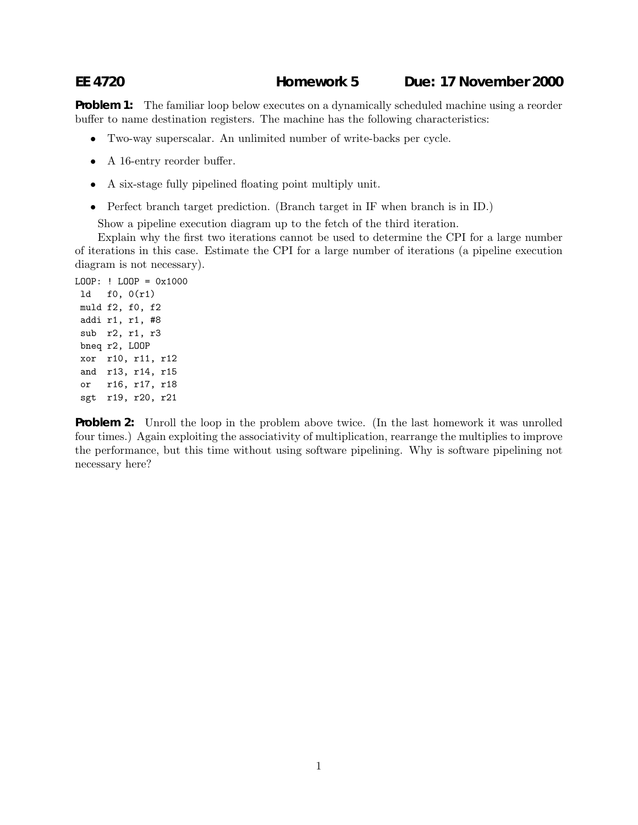## **EE 4720 Homework 5 Due: 17 November 2000**

**Problem 1:** The familiar loop below executes on a dynamically scheduled machine using a reorder buffer to name destination registers. The machine has the following characteristics:

- Two-way superscalar. An unlimited number of write-backs per cycle.
- A 16-entry reorder buffer.
- A six-stage fully pipelined floating point multiply unit.
- Perfect branch target prediction. (Branch target in IF when branch is in ID.)

Show a pipeline execution diagram up to the fetch of the third iteration.

Explain why the first two iterations cannot be used to determine the CPI for a large number of iterations in this case. Estimate the CPI for a large number of iterations (a pipeline execution diagram is not necessary).

```
LOOP: ! LOOP = 0x1000
ld f0, 0(r1)
muld f2, f0, f2
addi r1, r1, #8
sub r2, r1, r3
bneq r2, LOOP
xor r10, r11, r12
 and r13, r14, r15
 or r16, r17, r18
 sgt r19, r20, r21
```
**Problem 2:** Unroll the loop in the problem above twice. (In the last homework it was unrolled four times.) Again exploiting the associativity of multiplication, rearrange the multiplies to improve the performance, but this time without using software pipelining. Why is software pipelining not necessary here?